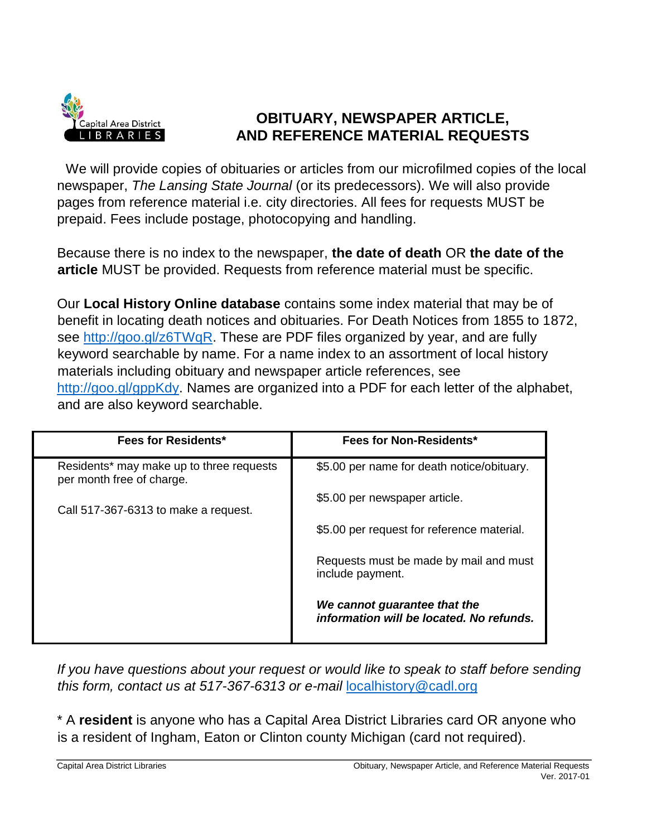

## **OBITUARY, NEWSPAPER ARTICLE, AND REFERENCE MATERIAL REQUESTS**

We will provide copies of obituaries or articles from our microfilmed copies of the local newspaper, *The Lansing State Journal* (or its predecessors). We will also provide pages from reference material i.e. city directories. All fees for requests MUST be prepaid. Fees include postage, photocopying and handling.

Because there is no index to the newspaper, **the date of death** OR **the date of the article** MUST be provided. Requests from reference material must be specific.

Our **Local History Online database** contains some index material that may be of benefit in locating death notices and obituaries. For Death Notices from 1855 to 1872, see [http://goo.gl/z6TWqR.](http://goo.gl/z6TWqR) These are PDF files organized by year, and are fully keyword searchable by name. For a name index to an assortment of local history materials including obituary and newspaper article references, see [http://goo.gl/gppKdy.](http://goo.gl/gppKdy) Names are organized into a PDF for each letter of the alphabet, and are also keyword searchable.

| <b>Fees for Residents*</b>                                            | Fees for Non-Residents*                                                  |
|-----------------------------------------------------------------------|--------------------------------------------------------------------------|
| Residents* may make up to three requests<br>per month free of charge. | \$5.00 per name for death notice/obituary.                               |
| Call 517-367-6313 to make a request.                                  | \$5.00 per newspaper article.                                            |
|                                                                       | \$5.00 per request for reference material.                               |
|                                                                       | Requests must be made by mail and must<br>include payment.               |
|                                                                       | We cannot guarantee that the<br>information will be located. No refunds. |

*If you have questions about your request or would like to speak to staff before sending this form, contact us at 517-367-6313 or e-mail* localhistory@cadl.org

\* A **resident** is anyone who has a Capital Area District Libraries card OR anyone who is a resident of Ingham, Eaton or Clinton county Michigan (card not required).